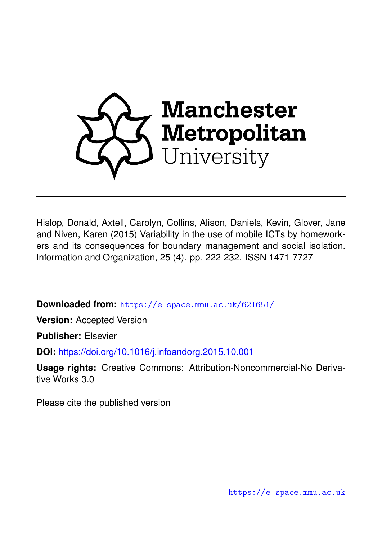

Hislop, Donald, Axtell, Carolyn, Collins, Alison, Daniels, Kevin, Glover, Jane and Niven, Karen (2015) Variability in the use of mobile ICTs by homeworkers and its consequences for boundary management and social isolation. Information and Organization, 25 (4). pp. 222-232. ISSN 1471-7727

**Downloaded from:** <https://e-space.mmu.ac.uk/621651/>

**Version:** Accepted Version

**Publisher:** Elsevier

**DOI:** <https://doi.org/10.1016/j.infoandorg.2015.10.001>

**Usage rights:** Creative Commons: Attribution-Noncommercial-No Derivative Works 3.0

Please cite the published version

<https://e-space.mmu.ac.uk>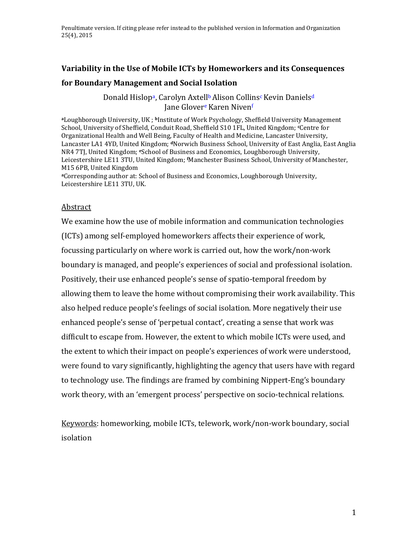# **Variability in the Use of Mobile ICTs by Homeworkers and its Consequences**

# **for Boundary Management and Social Isolation**

Donald Hislop<sup>a</sup>, Carolyn Axtell<sup>b</sup> Alison Collins<sup>c</sup> Kevin Daniels<sup>d</sup> Jane Glovere Karen Niven<sup>f</sup>

**<sup>a</sup>**Loughborough University, UK ; **b**Institute of Work Psychology, Sheffield University Management School, University of Sheffield, Conduit Road, Sheffield S10 1FL, United Kingdom; **c**Centre for Organizational Health and Well Being, Faculty of Health and Medicine, Lancaster University, Lancaster LA1 4YD, United Kingdom; **d**Norwich Business School, University of East Anglia, East Anglia NR4 7TJ, United Kingdom; **e**School of Business and Economics, Loughborough University, Leicestershire LE11 3TU, United Kingdom; **f**Manchester Business School, University of Manchester, M15 6PB, United Kingdom

**<sup>a</sup>**Corresponding author at: School of Business and Economics, Loughborough University, Leicestershire LE11 3TU, UK.

### **Abstract**

We examine how the use of mobile information and communication technologies (ICTs) among self-employed homeworkers affects their experience of work, focussing particularly on where work is carried out, how the work/non-work boundary is managed, and people's experiences of social and professional isolation. Positively, their use enhanced people's sense of spatio-temporal freedom by allowing them to leave the home without compromising their work availability. This also helped reduce people's feelings of social isolation. More negatively their use enhanced people's sense of 'perpetual contact', creating a sense that work was difficult to escape from. However, the extent to which mobile ICTs were used, and the extent to which their impact on people's experiences of work were understood, were found to vary significantly, highlighting the agency that users have with regard to technology use. The findings are framed by combining Nippert-Eng's boundary work theory, with an 'emergent process' perspective on socio-technical relations.

Keywords: homeworking, mobile ICTs, telework, work/non-work boundary, social isolation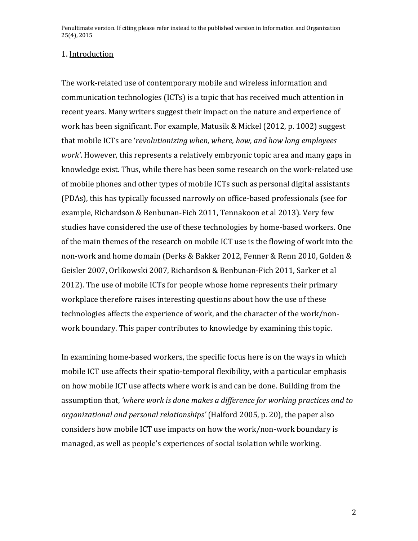# 1. Introduction

The work-related use of contemporary mobile and wireless information and communication technologies (ICTs) is a topic that has received much attention in recent years. Many writers suggest their impact on the nature and experience of work has been significant. For example, Matusik & Mickel (2012, p. 1002) suggest that mobile ICTs are '*revolutionizing when, where, how, and how long employees work'*. However, this represents a relatively embryonic topic area and many gaps in knowledge exist. Thus, while there has been some research on the work-related use of mobile phones and other types of mobile ICTs such as personal digital assistants (PDAs), this has typically focussed narrowly on office-based professionals (see for example, Richardson & Benbunan-Fich 2011, Tennakoon et al 2013). Very few studies have considered the use of these technologies by home-based workers. One of the main themes of the research on mobile ICT use is the flowing of work into the non-work and home domain (Derks & Bakker 2012, Fenner & Renn 2010, Golden & Geisler 2007, Orlikowski 2007, Richardson & Benbunan-Fich 2011, Sarker et al 2012). The use of mobile ICTs for people whose home represents their primary workplace therefore raises interesting questions about how the use of these technologies affects the experience of work, and the character of the work/nonwork boundary. This paper contributes to knowledge by examining this topic.

In examining home-based workers, the specific focus here is on the ways in which mobile ICT use affects their spatio-temporal flexibility, with a particular emphasis on how mobile ICT use affects where work is and can be done. Building from the assumption that, *'where work is done makes a difference for working practices and to organizational and personal relationships'* (Halford 2005, p. 20), the paper also considers how mobile ICT use impacts on how the work/non-work boundary is managed, as well as people's experiences of social isolation while working.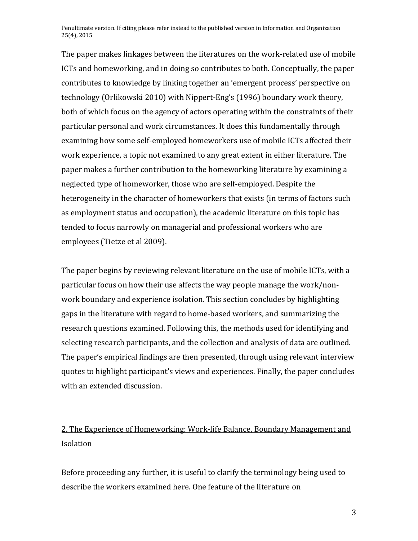The paper makes linkages between the literatures on the work-related use of mobile ICTs and homeworking, and in doing so contributes to both. Conceptually, the paper contributes to knowledge by linking together an 'emergent process' perspective on technology (Orlikowski 2010) with Nippert-Eng's (1996) boundary work theory, both of which focus on the agency of actors operating within the constraints of their particular personal and work circumstances. It does this fundamentally through examining how some self-employed homeworkers use of mobile ICTs affected their work experience, a topic not examined to any great extent in either literature. The paper makes a further contribution to the homeworking literature by examining a neglected type of homeworker, those who are self-employed. Despite the heterogeneity in the character of homeworkers that exists (in terms of factors such as employment status and occupation), the academic literature on this topic has tended to focus narrowly on managerial and professional workers who are employees (Tietze et al 2009).

The paper begins by reviewing relevant literature on the use of mobile ICTs, with a particular focus on how their use affects the way people manage the work/nonwork boundary and experience isolation. This section concludes by highlighting gaps in the literature with regard to home-based workers, and summarizing the research questions examined. Following this, the methods used for identifying and selecting research participants, and the collection and analysis of data are outlined. The paper's empirical findings are then presented, through using relevant interview quotes to highlight participant's views and experiences. Finally, the paper concludes with an extended discussion.

# 2. The Experience of Homeworking: Work-life Balance, Boundary Management and Isolation

Before proceeding any further, it is useful to clarify the terminology being used to describe the workers examined here. One feature of the literature on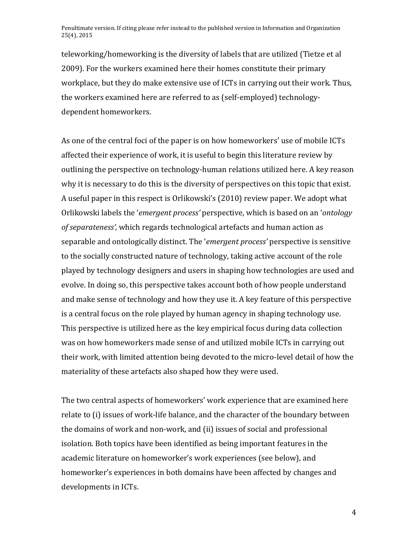teleworking/homeworking is the diversity of labels that are utilized (Tietze et al 2009). For the workers examined here their homes constitute their primary workplace, but they do make extensive use of ICTs in carrying out their work. Thus, the workers examined here are referred to as (self-employed) technologydependent homeworkers.

As one of the central foci of the paper is on how homeworkers' use of mobile ICTs affected their experience of work, it is useful to begin this literature review by outlining the perspective on technology-human relations utilized here. A key reason why it is necessary to do this is the diversity of perspectives on this topic that exist. A useful paper in this respect is Orlikowski's (2010) review paper. We adopt what Orlikowski labels the '*emergent process'* perspective, which is based on an '*ontology of separateness',* which regards technological artefacts and human action as separable and ontologically distinct. The '*emergent process'* perspective is sensitive to the socially constructed nature of technology, taking active account of the role played by technology designers and users in shaping how technologies are used and evolve. In doing so, this perspective takes account both of how people understand and make sense of technology and how they use it. A key feature of this perspective is a central focus on the role played by human agency in shaping technology use. This perspective is utilized here as the key empirical focus during data collection was on how homeworkers made sense of and utilized mobile ICTs in carrying out their work, with limited attention being devoted to the micro-level detail of how the materiality of these artefacts also shaped how they were used.

The two central aspects of homeworkers' work experience that are examined here relate to (i) issues of work-life balance, and the character of the boundary between the domains of work and non-work, and (ii) issues of social and professional isolation. Both topics have been identified as being important features in the academic literature on homeworker's work experiences (see below), and homeworker's experiences in both domains have been affected by changes and developments in ICTs.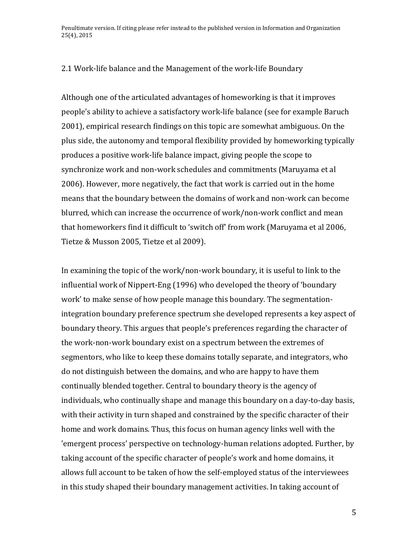### 2.1 Work-life balance and the Management of the work-life Boundary

Although one of the articulated advantages of homeworking is that it improves people's ability to achieve a satisfactory work-life balance (see for example Baruch 2001), empirical research findings on this topic are somewhat ambiguous. On the plus side, the autonomy and temporal flexibility provided by homeworking typically produces a positive work-life balance impact, giving people the scope to synchronize work and non-work schedules and commitments (Maruyama et al 2006). However, more negatively, the fact that work is carried out in the home means that the boundary between the domains of work and non-work can become blurred, which can increase the occurrence of work/non-work conflict and mean that homeworkers find it difficult to 'switch off' from work (Maruyama et al 2006, Tietze & Musson 2005, Tietze et al 2009).

In examining the topic of the work/non-work boundary, it is useful to link to the influential work of Nippert-Eng (1996) who developed the theory of 'boundary work' to make sense of how people manage this boundary. The segmentationintegration boundary preference spectrum she developed represents a key aspect of boundary theory. This argues that people's preferences regarding the character of the work-non-work boundary exist on a spectrum between the extremes of segmentors, who like to keep these domains totally separate, and integrators, who do not distinguish between the domains, and who are happy to have them continually blended together. Central to boundary theory is the agency of individuals, who continually shape and manage this boundary on a day-to-day basis, with their activity in turn shaped and constrained by the specific character of their home and work domains. Thus, this focus on human agency links well with the 'emergent process' perspective on technology-human relations adopted. Further, by taking account of the specific character of people's work and home domains, it allows full account to be taken of how the self-employed status of the interviewees in this study shaped their boundary management activities. In taking account of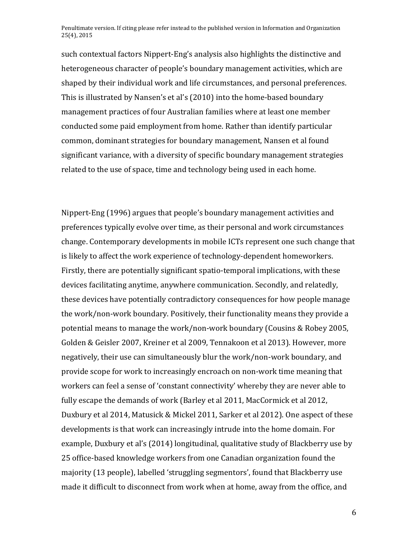such contextual factors Nippert-Eng's analysis also highlights the distinctive and heterogeneous character of people's boundary management activities, which are shaped by their individual work and life circumstances, and personal preferences. This is illustrated by Nansen's et al's (2010) into the home-based boundary management practices of four Australian families where at least one member conducted some paid employment from home. Rather than identify particular common, dominant strategies for boundary management, Nansen et al found significant variance, with a diversity of specific boundary management strategies related to the use of space, time and technology being used in each home.

Nippert-Eng (1996) argues that people's boundary management activities and preferences typically evolve over time, as their personal and work circumstances change. Contemporary developments in mobile ICTs represent one such change that is likely to affect the work experience of technology-dependent homeworkers. Firstly, there are potentially significant spatio-temporal implications, with these devices facilitating anytime, anywhere communication. Secondly, and relatedly, these devices have potentially contradictory consequences for how people manage the work/non-work boundary. Positively, their functionality means they provide a potential means to manage the work/non-work boundary (Cousins & Robey 2005, Golden & Geisler 2007, Kreiner et al 2009, Tennakoon et al 2013). However, more negatively, their use can simultaneously blur the work/non-work boundary, and provide scope for work to increasingly encroach on non-work time meaning that workers can feel a sense of 'constant connectivity' whereby they are never able to fully escape the demands of work (Barley et al 2011, MacCormick et al 2012, Duxbury et al 2014, Matusick & Mickel 2011, Sarker et al 2012). One aspect of these developments is that work can increasingly intrude into the home domain. For example, Duxbury et al's (2014) longitudinal, qualitative study of Blackberry use by 25 office-based knowledge workers from one Canadian organization found the majority (13 people), labelled 'struggling segmentors', found that Blackberry use made it difficult to disconnect from work when at home, away from the office, and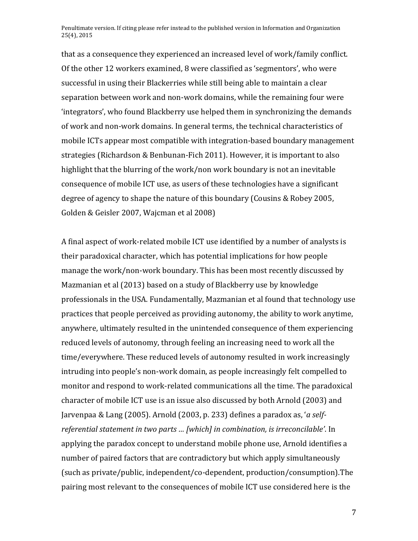that as a consequence they experienced an increased level of work/family conflict. Of the other 12 workers examined, 8 were classified as 'segmentors', who were successful in using their Blackerries while still being able to maintain a clear separation between work and non-work domains, while the remaining four were 'integrators', who found Blackberry use helped them in synchronizing the demands of work and non-work domains. In general terms, the technical characteristics of mobile ICTs appear most compatible with integration-based boundary management strategies (Richardson & Benbunan-Fich 2011). However, it is important to also highlight that the blurring of the work/non work boundary is not an inevitable consequence of mobile ICT use, as users of these technologies have a significant degree of agency to shape the nature of this boundary (Cousins & Robey 2005, Golden & Geisler 2007, Wajcman et al 2008)

A final aspect of work-related mobile ICT use identified by a number of analysts is their paradoxical character, which has potential implications for how people manage the work/non-work boundary. This has been most recently discussed by Mazmanian et al (2013) based on a study of Blackberry use by knowledge professionals in the USA. Fundamentally, Mazmanian et al found that technology use practices that people perceived as providing autonomy, the ability to work anytime, anywhere, ultimately resulted in the unintended consequence of them experiencing reduced levels of autonomy, through feeling an increasing need to work all the time/everywhere. These reduced levels of autonomy resulted in work increasingly intruding into people's non-work domain, as people increasingly felt compelled to monitor and respond to work-related communications all the time. The paradoxical character of mobile ICT use is an issue also discussed by both Arnold (2003) and Jarvenpaa & Lang (2005). Arnold (2003, p. 233) defines a paradox as, '*a selfreferential statement in two parts … [which] in combination, is irreconcilable'*. In applying the paradox concept to understand mobile phone use, Arnold identifies a number of paired factors that are contradictory but which apply simultaneously (such as private/public, independent/co-dependent, production/consumption).The pairing most relevant to the consequences of mobile ICT use considered here is the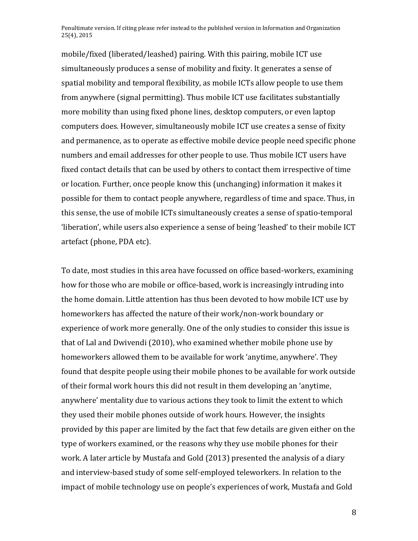mobile/fixed (liberated/leashed) pairing. With this pairing, mobile ICT use simultaneously produces a sense of mobility and fixity. It generates a sense of spatial mobility and temporal flexibility, as mobile ICTs allow people to use them from anywhere (signal permitting). Thus mobile ICT use facilitates substantially more mobility than using fixed phone lines, desktop computers, or even laptop computers does. However, simultaneously mobile ICT use creates a sense of fixity and permanence, as to operate as effective mobile device people need specific phone numbers and email addresses for other people to use. Thus mobile ICT users have fixed contact details that can be used by others to contact them irrespective of time or location. Further, once people know this (unchanging) information it makes it possible for them to contact people anywhere, regardless of time and space. Thus, in this sense, the use of mobile ICTs simultaneously creates a sense of spatio-temporal 'liberation', while users also experience a sense of being 'leashed' to their mobile ICT artefact (phone, PDA etc).

To date, most studies in this area have focussed on office based-workers, examining how for those who are mobile or office-based, work is increasingly intruding into the home domain. Little attention has thus been devoted to how mobile ICT use by homeworkers has affected the nature of their work/non-work boundary or experience of work more generally. One of the only studies to consider this issue is that of Lal and Dwivendi (2010), who examined whether mobile phone use by homeworkers allowed them to be available for work 'anytime, anywhere'. They found that despite people using their mobile phones to be available for work outside of their formal work hours this did not result in them developing an 'anytime, anywhere' mentality due to various actions they took to limit the extent to which they used their mobile phones outside of work hours. However, the insights provided by this paper are limited by the fact that few details are given either on the type of workers examined, or the reasons why they use mobile phones for their work. A later article by Mustafa and Gold (2013) presented the analysis of a diary and interview-based study of some self-employed teleworkers. In relation to the impact of mobile technology use on people's experiences of work, Mustafa and Gold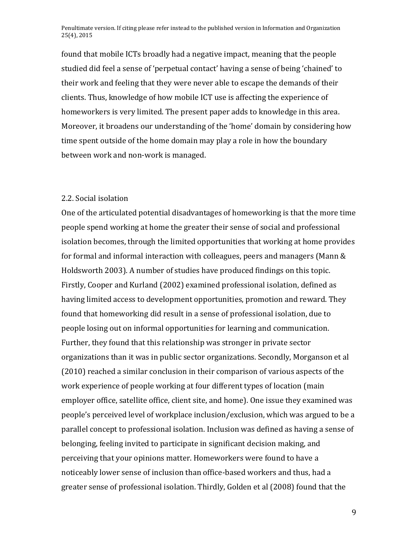found that mobile ICTs broadly had a negative impact, meaning that the people studied did feel a sense of 'perpetual contact' having a sense of being 'chained' to their work and feeling that they were never able to escape the demands of their clients. Thus, knowledge of how mobile ICT use is affecting the experience of homeworkers is very limited. The present paper adds to knowledge in this area. Moreover, it broadens our understanding of the 'home' domain by considering how time spent outside of the home domain may play a role in how the boundary between work and non-work is managed.

#### 2.2. Social isolation

One of the articulated potential disadvantages of homeworking is that the more time people spend working at home the greater their sense of social and professional isolation becomes, through the limited opportunities that working at home provides for formal and informal interaction with colleagues, peers and managers (Mann & Holdsworth 2003). A number of studies have produced findings on this topic. Firstly, Cooper and Kurland (2002) examined professional isolation, defined as having limited access to development opportunities, promotion and reward. They found that homeworking did result in a sense of professional isolation, due to people losing out on informal opportunities for learning and communication. Further, they found that this relationship was stronger in private sector organizations than it was in public sector organizations. Secondly, Morganson et al (2010) reached a similar conclusion in their comparison of various aspects of the work experience of people working at four different types of location (main employer office, satellite office, client site, and home). One issue they examined was people's perceived level of workplace inclusion/exclusion, which was argued to be a parallel concept to professional isolation. Inclusion was defined as having a sense of belonging, feeling invited to participate in significant decision making, and perceiving that your opinions matter. Homeworkers were found to have a noticeably lower sense of inclusion than office-based workers and thus, had a greater sense of professional isolation. Thirdly, Golden et al (2008) found that the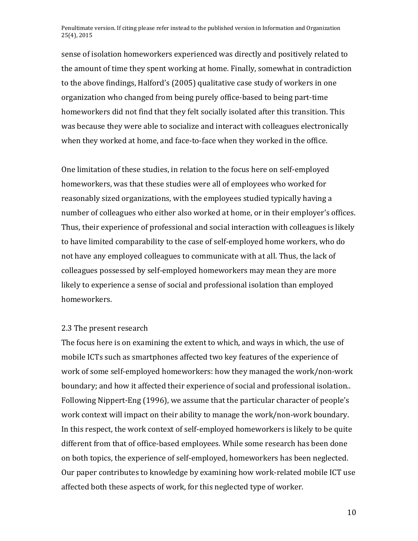sense of isolation homeworkers experienced was directly and positively related to the amount of time they spent working at home. Finally, somewhat in contradiction to the above findings, Halford's (2005) qualitative case study of workers in one organization who changed from being purely office-based to being part-time homeworkers did not find that they felt socially isolated after this transition. This was because they were able to socialize and interact with colleagues electronically when they worked at home, and face-to-face when they worked in the office.

One limitation of these studies, in relation to the focus here on self-employed homeworkers, was that these studies were all of employees who worked for reasonably sized organizations, with the employees studied typically having a number of colleagues who either also worked at home, or in their employer's offices. Thus, their experience of professional and social interaction with colleagues is likely to have limited comparability to the case of self-employed home workers, who do not have any employed colleagues to communicate with at all. Thus, the lack of colleagues possessed by self-employed homeworkers may mean they are more likely to experience a sense of social and professional isolation than employed homeworkers.

### 2.3 The present research

The focus here is on examining the extent to which, and ways in which, the use of mobile ICTs such as smartphones affected two key features of the experience of work of some self-employed homeworkers: how they managed the work/non-work boundary; and how it affected their experience of social and professional isolation.. Following Nippert-Eng (1996), we assume that the particular character of people's work context will impact on their ability to manage the work/non-work boundary. In this respect, the work context of self-employed homeworkers is likely to be quite different from that of office-based employees. While some research has been done on both topics, the experience of self-employed, homeworkers has been neglected. Our paper contributes to knowledge by examining how work-related mobile ICT use affected both these aspects of work, for this neglected type of worker.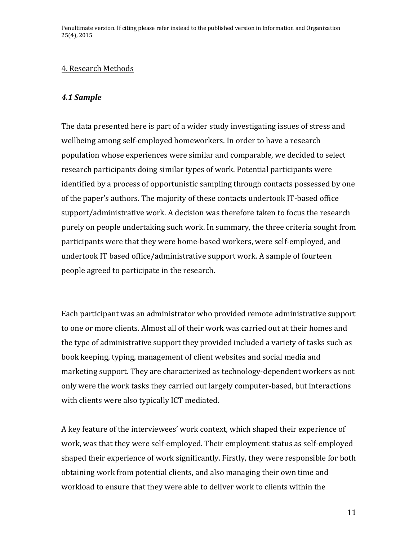### 4. Research Methods

### *4.1 Sample*

The data presented here is part of a wider study investigating issues of stress and wellbeing among self-employed homeworkers. In order to have a research population whose experiences were similar and comparable, we decided to select research participants doing similar types of work. Potential participants were identified by a process of opportunistic sampling through contacts possessed by one of the paper's authors. The majority of these contacts undertook IT-based office support/administrative work. A decision was therefore taken to focus the research purely on people undertaking such work. In summary, the three criteria sought from participants were that they were home-based workers, were self-employed, and undertook IT based office/administrative support work. A sample of fourteen people agreed to participate in the research.

Each participant was an administrator who provided remote administrative support to one or more clients. Almost all of their work was carried out at their homes and the type of administrative support they provided included a variety of tasks such as book keeping, typing, management of client websites and social media and marketing support. They are characterized as technology-dependent workers as not only were the work tasks they carried out largely computer-based, but interactions with clients were also typically ICT mediated.

A key feature of the interviewees' work context, which shaped their experience of work, was that they were self-employed. Their employment status as self-employed shaped their experience of work significantly. Firstly, they were responsible for both obtaining work from potential clients, and also managing their own time and workload to ensure that they were able to deliver work to clients within the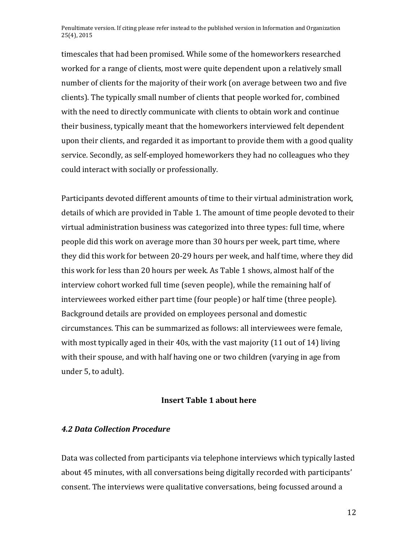timescales that had been promised. While some of the homeworkers researched worked for a range of clients, most were quite dependent upon a relatively small number of clients for the majority of their work (on average between two and five clients). The typically small number of clients that people worked for, combined with the need to directly communicate with clients to obtain work and continue their business, typically meant that the homeworkers interviewed felt dependent upon their clients, and regarded it as important to provide them with a good quality service. Secondly, as self-employed homeworkers they had no colleagues who they could interact with socially or professionally.

Participants devoted different amounts of time to their virtual administration work, details of which are provided in Table 1. The amount of time people devoted to their virtual administration business was categorized into three types: full time, where people did this work on average more than 30 hours per week, part time, where they did this work for between 20-29 hours per week, and half time, where they did this work for less than 20 hours per week. As Table 1 shows, almost half of the interview cohort worked full time (seven people), while the remaining half of interviewees worked either part time (four people) or half time (three people). Background details are provided on employees personal and domestic circumstances. This can be summarized as follows: all interviewees were female, with most typically aged in their 40s, with the vast majority (11 out of 14) living with their spouse, and with half having one or two children (varying in age from under 5, to adult).

### **Insert Table 1 about here**

### *4.2 Data Collection Procedure*

Data was collected from participants via telephone interviews which typically lasted about 45 minutes, with all conversations being digitally recorded with participants' consent. The interviews were qualitative conversations, being focussed around a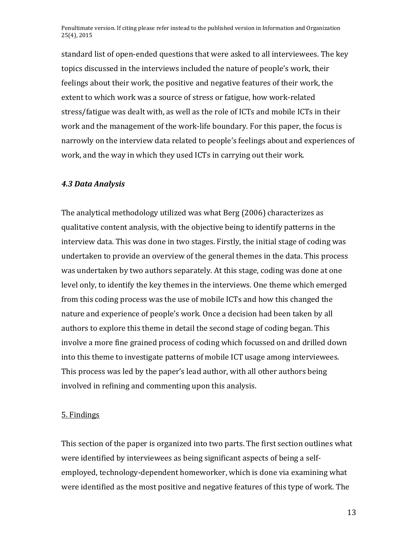standard list of open-ended questions that were asked to all interviewees. The key topics discussed in the interviews included the nature of people's work, their feelings about their work, the positive and negative features of their work, the extent to which work was a source of stress or fatigue, how work-related stress/fatigue was dealt with, as well as the role of ICTs and mobile ICTs in their work and the management of the work-life boundary. For this paper, the focus is narrowly on the interview data related to people's feelings about and experiences of work, and the way in which they used ICTs in carrying out their work.

# *4.3 Data Analysis*

The analytical methodology utilized was what Berg (2006) characterizes as qualitative content analysis, with the objective being to identify patterns in the interview data. This was done in two stages. Firstly, the initial stage of coding was undertaken to provide an overview of the general themes in the data. This process was undertaken by two authors separately. At this stage, coding was done at one level only, to identify the key themes in the interviews. One theme which emerged from this coding process was the use of mobile ICTs and how this changed the nature and experience of people's work. Once a decision had been taken by all authors to explore this theme in detail the second stage of coding began. This involve a more fine grained process of coding which focussed on and drilled down into this theme to investigate patterns of mobile ICT usage among interviewees. This process was led by the paper's lead author, with all other authors being involved in refining and commenting upon this analysis.

# 5. Findings

This section of the paper is organized into two parts. The first section outlines what were identified by interviewees as being significant aspects of being a selfemployed, technology-dependent homeworker, which is done via examining what were identified as the most positive and negative features of this type of work. The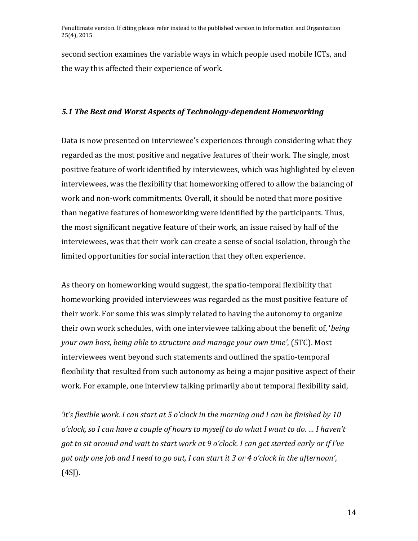second section examines the variable ways in which people used mobile ICTs, and the way this affected their experience of work.

# *5.1 The Best and Worst Aspects of Technology-dependent Homeworking*

Data is now presented on interviewee's experiences through considering what they regarded as the most positive and negative features of their work. The single, most positive feature of work identified by interviewees, which was highlighted by eleven interviewees, was the flexibility that homeworking offered to allow the balancing of work and non-work commitments. Overall, it should be noted that more positive than negative features of homeworking were identified by the participants. Thus, the most significant negative feature of their work, an issue raised by half of the interviewees, was that their work can create a sense of social isolation, through the limited opportunities for social interaction that they often experience.

As theory on homeworking would suggest, the spatio-temporal flexibility that homeworking provided interviewees was regarded as the most positive feature of their work. For some this was simply related to having the autonomy to organize their own work schedules, with one interviewee talking about the benefit of, '*being your own boss, being able to structure and manage your own time'*, (5TC). Most interviewees went beyond such statements and outlined the spatio-temporal flexibility that resulted from such autonomy as being a major positive aspect of their work. For example, one interview talking primarily about temporal flexibility said,

*'it's flexible work. I can start at 5 o'clock in the morning and I can be finished by 10 o'clock, so I can have a couple of hours to myself to do what I want to do. … I haven't got to sit around and wait to start work at 9 o'clock. I can get started early or if I've got only one job and I need to go out, I can start it 3 or 4 o'clock in the afternoon'*, (4SJ).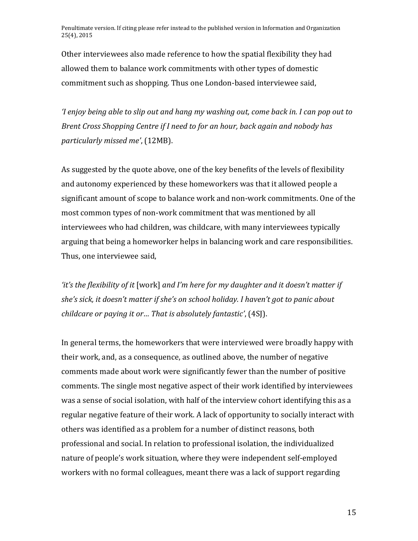Other interviewees also made reference to how the spatial flexibility they had allowed them to balance work commitments with other types of domestic commitment such as shopping. Thus one London-based interviewee said,

*'I enjoy being able to slip out and hang my washing out, come back in. I can pop out to Brent Cross Shopping Centre if I need to for an hour, back again and nobody has particularly missed me'*, (12MB).

As suggested by the quote above, one of the key benefits of the levels of flexibility and autonomy experienced by these homeworkers was that it allowed people a significant amount of scope to balance work and non-work commitments. One of the most common types of non-work commitment that was mentioned by all interviewees who had children, was childcare, with many interviewees typically arguing that being a homeworker helps in balancing work and care responsibilities. Thus, one interviewee said,

*'it's the flexibility of it* [work] *and I'm here for my daughter and it doesn't matter if she's sick, it doesn't matter if she's on school holiday. I haven't got to panic about childcare or paying it or… That is absolutely fantastic'*, (4SJ).

In general terms, the homeworkers that were interviewed were broadly happy with their work, and, as a consequence, as outlined above, the number of negative comments made about work were significantly fewer than the number of positive comments. The single most negative aspect of their work identified by interviewees was a sense of social isolation, with half of the interview cohort identifying this as a regular negative feature of their work. A lack of opportunity to socially interact with others was identified as a problem for a number of distinct reasons, both professional and social. In relation to professional isolation, the individualized nature of people's work situation, where they were independent self-employed workers with no formal colleagues, meant there was a lack of support regarding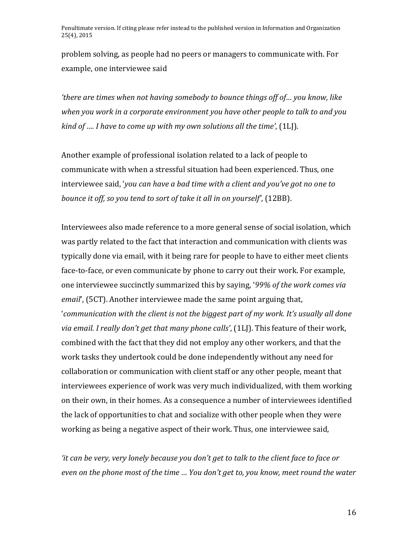problem solving, as people had no peers or managers to communicate with. For example, one interviewee said

*'there are times when not having somebody to bounce things off of… you know, like when you work in a corporate environment you have other people to talk to and you kind of …. I have to come up with my own solutions all the time'*, (1LJ).

Another example of professional isolation related to a lack of people to communicate with when a stressful situation had been experienced. Thus, one interviewee said, '*you can have a bad time with a client and you've got no one to bounce it off, so you tend to sort of take it all in on yourself'*, (12BB).

Interviewees also made reference to a more general sense of social isolation, which was partly related to the fact that interaction and communication with clients was typically done via email, with it being rare for people to have to either meet clients face-to-face, or even communicate by phone to carry out their work. For example, one interviewee succinctly summarized this by saying, '*99% of the work comes via email*', (5CT). Another interviewee made the same point arguing that, '*communication with the client is not the biggest part of my work. It's usually all done via email. I really don't get that many phone calls'*, (1LJ). This feature of their work, combined with the fact that they did not employ any other workers, and that the work tasks they undertook could be done independently without any need for collaboration or communication with client staff or any other people, meant that interviewees experience of work was very much individualized, with them working on their own, in their homes. As a consequence a number of interviewees identified the lack of opportunities to chat and socialize with other people when they were working as being a negative aspect of their work. Thus, one interviewee said,

*'it can be very, very lonely because you don't get to talk to the client face to face or even on the phone most of the time … You don't get to, you know, meet round the water*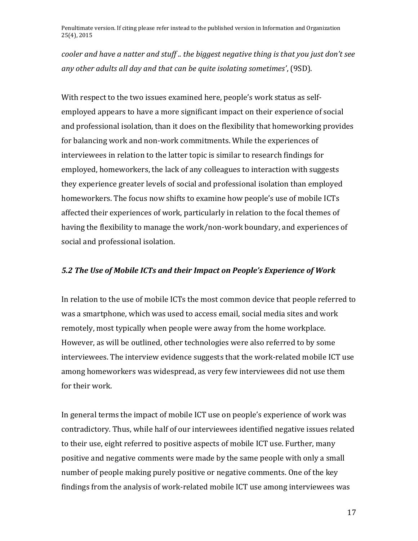*cooler and have a natter and stuff .. the biggest negative thing is that you just don't see any other adults all day and that can be quite isolating sometimes'*, (9SD).

With respect to the two issues examined here, people's work status as selfemployed appears to have a more significant impact on their experience of social and professional isolation, than it does on the flexibility that homeworking provides for balancing work and non-work commitments. While the experiences of interviewees in relation to the latter topic is similar to research findings for employed, homeworkers, the lack of any colleagues to interaction with suggests they experience greater levels of social and professional isolation than employed homeworkers. The focus now shifts to examine how people's use of mobile ICTs affected their experiences of work, particularly in relation to the focal themes of having the flexibility to manage the work/non-work boundary, and experiences of social and professional isolation.

# *5.2 The Use of Mobile ICTs and their Impact on People's Experience of Work*

In relation to the use of mobile ICTs the most common device that people referred to was a smartphone, which was used to access email, social media sites and work remotely, most typically when people were away from the home workplace. However, as will be outlined, other technologies were also referred to by some interviewees. The interview evidence suggests that the work-related mobile ICT use among homeworkers was widespread, as very few interviewees did not use them for their work.

In general terms the impact of mobile ICT use on people's experience of work was contradictory. Thus, while half of our interviewees identified negative issues related to their use, eight referred to positive aspects of mobile ICT use. Further, many positive and negative comments were made by the same people with only a small number of people making purely positive or negative comments. One of the key findings from the analysis of work-related mobile ICT use among interviewees was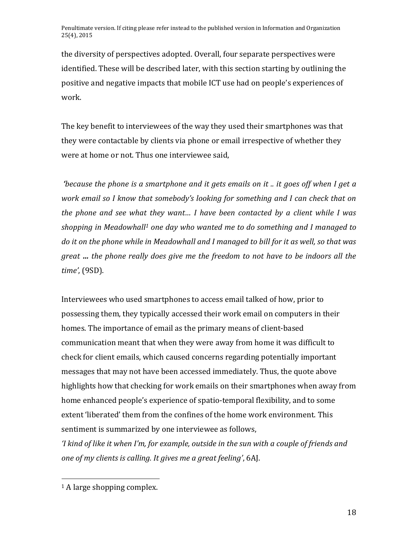the diversity of perspectives adopted. Overall, four separate perspectives were identified. These will be described later, with this section starting by outlining the positive and negative impacts that mobile ICT use had on people's experiences of work.

The key benefit to interviewees of the way they used their smartphones was that they were contactable by clients via phone or email irrespective of whether they were at home or not. Thus one interviewee said,

*'because the phone is a smartphone and it gets emails on it .. it goes off when I get a work email so I know that somebody's looking for something and I can check that on the phone and see what they want… I have been contacted by a client while I was shopping in Meadowhall<sup>1</sup> one day who wanted me to do something and I managed to do it on the phone while in Meadowhall and I managed to bill for it as well, so that was great … the phone really does give me the freedom to not have to be indoors all the time'*, (9SD).

Interviewees who used smartphones to access email talked of how, prior to possessing them, they typically accessed their work email on computers in their homes. The importance of email as the primary means of client-based communication meant that when they were away from home it was difficult to check for client emails, which caused concerns regarding potentially important messages that may not have been accessed immediately. Thus, the quote above highlights how that checking for work emails on their smartphones when away from home enhanced people's experience of spatio-temporal flexibility, and to some extent 'liberated' them from the confines of the home work environment. This sentiment is summarized by one interviewee as follows,

*'I kind of like it when I'm, for example, outside in the sun with a couple of friends and one of my clients is calling. It gives me a great feeling'*, 6AJ.

l

<sup>&</sup>lt;sup>1</sup> A large shopping complex.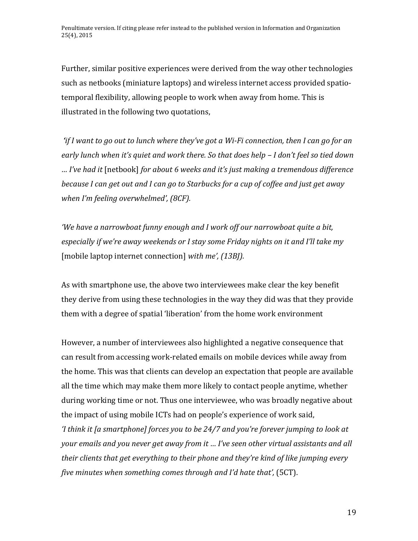Further, similar positive experiences were derived from the way other technologies such as netbooks (miniature laptops) and wireless internet access provided spatiotemporal flexibility, allowing people to work when away from home. This is illustrated in the following two quotations,

*'if I want to go out to lunch where they've got a Wi-Fi connection, then I can go for an early lunch when it's quiet and work there. So that does help – I don't feel so tied down … I've had it* [netbook] *for about 6 weeks and it's just making a tremendous difference because I can get out and I can go to Starbucks for a cup of coffee and just get away when I'm feeling overwhelmed', (8CF).*

*'We have a narrowboat funny enough and I work off our narrowboat quite a bit, especially if we're away weekends or I stay some Friday nights on it and I'll take my*  [mobile laptop internet connection] *with me', (13BJ).*

As with smartphone use, the above two interviewees make clear the key benefit they derive from using these technologies in the way they did was that they provide them with a degree of spatial 'liberation' from the home work environment

However, a number of interviewees also highlighted a negative consequence that can result from accessing work-related emails on mobile devices while away from the home. This was that clients can develop an expectation that people are available all the time which may make them more likely to contact people anytime, whether during working time or not. Thus one interviewee, who was broadly negative about the impact of using mobile ICTs had on people's experience of work said,

*'I think it [a smartphone] forces you to be 24/7 and you're forever jumping to look at your emails and you never get away from it … I've seen other virtual assistants and all their clients that get everything to their phone and they're kind of like jumping every five minutes when something comes through and I'd hate that',* (5CT).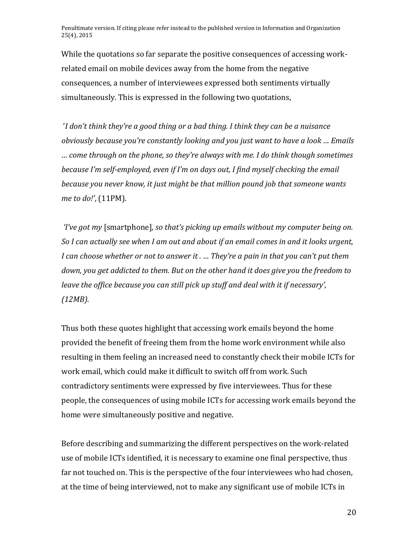While the quotations so far separate the positive consequences of accessing workrelated email on mobile devices away from the home from the negative consequences, a number of interviewees expressed both sentiments virtually simultaneously. This is expressed in the following two quotations,

'*I don't think they're a good thing or a bad thing. I think they can be a nuisance obviously because you're constantly looking and you just want to have a look … Emails … come through on the phone, so they're always with me. I do think though sometimes because I'm self-employed, even if I'm on days out, I find myself checking the email because you never know, it just might be that million pound job that someone wants me to do!'*, (11PM).

*'I've got my* [smartphone]*, so that's picking up emails without my computer being on. So I can actually see when I am out and about if an email comes in and it looks urgent, I can choose whether or not to answer it . … They're a pain in that you can't put them down, you get addicted to them. But on the other hand it does give you the freedom to leave the office because you can still pick up stuff and deal with it if necessary', (12MB).*

Thus both these quotes highlight that accessing work emails beyond the home provided the benefit of freeing them from the home work environment while also resulting in them feeling an increased need to constantly check their mobile ICTs for work email, which could make it difficult to switch off from work. Such contradictory sentiments were expressed by five interviewees. Thus for these people, the consequences of using mobile ICTs for accessing work emails beyond the home were simultaneously positive and negative.

Before describing and summarizing the different perspectives on the work-related use of mobile ICTs identified, it is necessary to examine one final perspective, thus far not touched on. This is the perspective of the four interviewees who had chosen, at the time of being interviewed, not to make any significant use of mobile ICTs in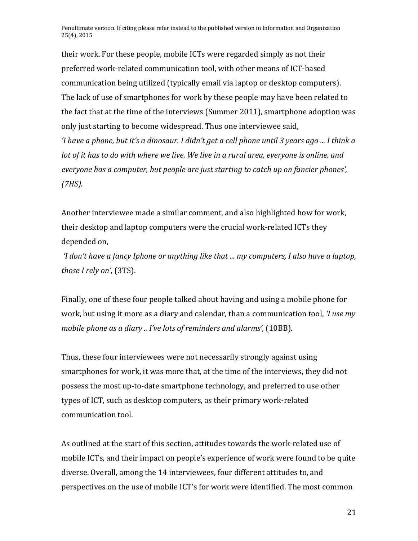their work. For these people, mobile ICTs were regarded simply as not their preferred work-related communication tool, with other means of ICT-based communication being utilized (typically email via laptop or desktop computers). The lack of use of smartphones for work by these people may have been related to the fact that at the time of the interviews (Summer 2011), smartphone adoption was only just starting to become widespread. Thus one interviewee said, *'I have a phone, but it's a dinosaur. I didn't get a cell phone until 3 years ago ... I think a lot of it has to do with where we live. We live in a rural area, everyone is online, and everyone has a computer, but people are just starting to catch up on fancier phones', (7HS).*

Another interviewee made a similar comment, and also highlighted how for work, their desktop and laptop computers were the crucial work-related ICTs they depended on,

*'I don't have a fancy Iphone or anything like that ... my computers, I also have a laptop, those I rely on'*, (3TS).

Finally, one of these four people talked about having and using a mobile phone for work, but using it more as a diary and calendar, than a communication tool, *'I use my mobile phone as a diary .. I've lots of reminders and alarms'*, (10BB).

Thus, these four interviewees were not necessarily strongly against using smartphones for work, it was more that, at the time of the interviews, they did not possess the most up-to-date smartphone technology, and preferred to use other types of ICT, such as desktop computers, as their primary work-related communication tool.

As outlined at the start of this section, attitudes towards the work-related use of mobile ICTs, and their impact on people's experience of work were found to be quite diverse. Overall, among the 14 interviewees, four different attitudes to, and perspectives on the use of mobile ICT's for work were identified. The most common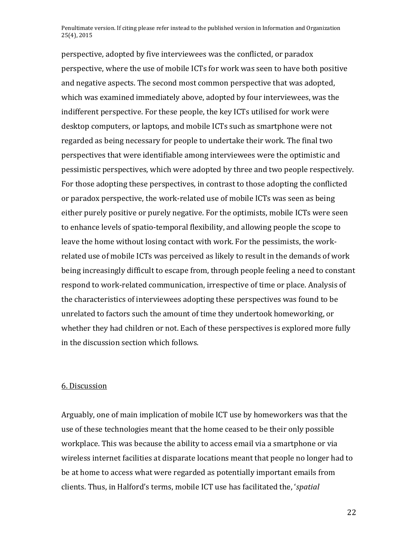perspective, adopted by five interviewees was the conflicted, or paradox perspective, where the use of mobile ICTs for work was seen to have both positive and negative aspects. The second most common perspective that was adopted, which was examined immediately above, adopted by four interviewees, was the indifferent perspective. For these people, the key ICTs utilised for work were desktop computers, or laptops, and mobile ICTs such as smartphone were not regarded as being necessary for people to undertake their work. The final two perspectives that were identifiable among interviewees were the optimistic and pessimistic perspectives, which were adopted by three and two people respectively. For those adopting these perspectives, in contrast to those adopting the conflicted or paradox perspective, the work-related use of mobile ICTs was seen as being either purely positive or purely negative. For the optimists, mobile ICTs were seen to enhance levels of spatio-temporal flexibility, and allowing people the scope to leave the home without losing contact with work. For the pessimists, the workrelated use of mobile ICTs was perceived as likely to result in the demands of work being increasingly difficult to escape from, through people feeling a need to constant respond to work-related communication, irrespective of time or place. Analysis of the characteristics of interviewees adopting these perspectives was found to be unrelated to factors such the amount of time they undertook homeworking, or whether they had children or not. Each of these perspectives is explored more fully in the discussion section which follows.

#### 6. Discussion

Arguably, one of main implication of mobile ICT use by homeworkers was that the use of these technologies meant that the home ceased to be their only possible workplace. This was because the ability to access email via a smartphone or via wireless internet facilities at disparate locations meant that people no longer had to be at home to access what were regarded as potentially important emails from clients. Thus, in Halford's terms, mobile ICT use has facilitated the, '*spatial*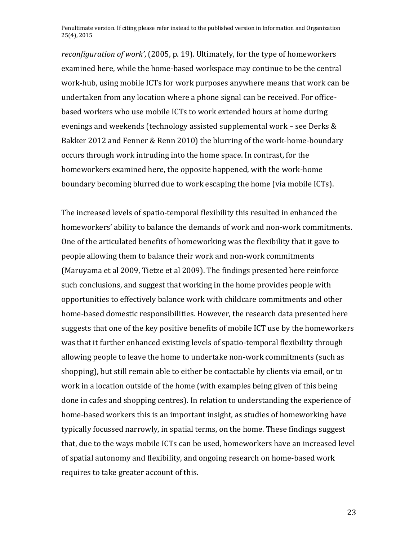*reconfiguration of work'*, (2005, p. 19). Ultimately, for the type of homeworkers examined here, while the home-based workspace may continue to be the central work-hub, using mobile ICTs for work purposes anywhere means that work can be undertaken from any location where a phone signal can be received. For officebased workers who use mobile ICTs to work extended hours at home during evenings and weekends (technology assisted supplemental work – see Derks & Bakker 2012 and Fenner & Renn 2010) the blurring of the work-home-boundary occurs through work intruding into the home space. In contrast, for the homeworkers examined here, the opposite happened, with the work-home boundary becoming blurred due to work escaping the home (via mobile ICTs).

The increased levels of spatio-temporal flexibility this resulted in enhanced the homeworkers' ability to balance the demands of work and non-work commitments. One of the articulated benefits of homeworking was the flexibility that it gave to people allowing them to balance their work and non-work commitments (Maruyama et al 2009, Tietze et al 2009). The findings presented here reinforce such conclusions, and suggest that working in the home provides people with opportunities to effectively balance work with childcare commitments and other home-based domestic responsibilities. However, the research data presented here suggests that one of the key positive benefits of mobile ICT use by the homeworkers was that it further enhanced existing levels of spatio-temporal flexibility through allowing people to leave the home to undertake non-work commitments (such as shopping), but still remain able to either be contactable by clients via email, or to work in a location outside of the home (with examples being given of this being done in cafes and shopping centres). In relation to understanding the experience of home-based workers this is an important insight, as studies of homeworking have typically focussed narrowly, in spatial terms, on the home. These findings suggest that, due to the ways mobile ICTs can be used, homeworkers have an increased level of spatial autonomy and flexibility, and ongoing research on home-based work requires to take greater account of this.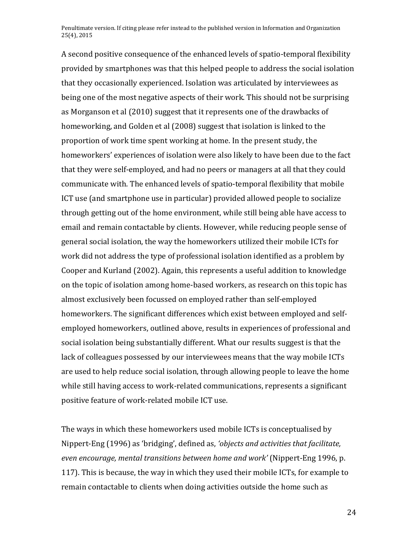A second positive consequence of the enhanced levels of spatio-temporal flexibility provided by smartphones was that this helped people to address the social isolation that they occasionally experienced. Isolation was articulated by interviewees as being one of the most negative aspects of their work. This should not be surprising as Morganson et al (2010) suggest that it represents one of the drawbacks of homeworking, and Golden et al (2008) suggest that isolation is linked to the proportion of work time spent working at home. In the present study, the homeworkers' experiences of isolation were also likely to have been due to the fact that they were self-employed, and had no peers or managers at all that they could communicate with. The enhanced levels of spatio-temporal flexibility that mobile ICT use (and smartphone use in particular) provided allowed people to socialize through getting out of the home environment, while still being able have access to email and remain contactable by clients. However, while reducing people sense of general social isolation, the way the homeworkers utilized their mobile ICTs for work did not address the type of professional isolation identified as a problem by Cooper and Kurland (2002). Again, this represents a useful addition to knowledge on the topic of isolation among home-based workers, as research on this topic has almost exclusively been focussed on employed rather than self-employed homeworkers. The significant differences which exist between employed and selfemployed homeworkers, outlined above, results in experiences of professional and social isolation being substantially different. What our results suggest is that the lack of colleagues possessed by our interviewees means that the way mobile ICTs are used to help reduce social isolation, through allowing people to leave the home while still having access to work-related communications, represents a significant positive feature of work-related mobile ICT use.

The ways in which these homeworkers used mobile ICTs is conceptualised by Nippert-Eng (1996) as 'bridging', defined as, *'objects and activities that facilitate, even encourage, mental transitions between home and work'* (Nippert-Eng 1996, p. 117). This is because, the way in which they used their mobile ICTs, for example to remain contactable to clients when doing activities outside the home such as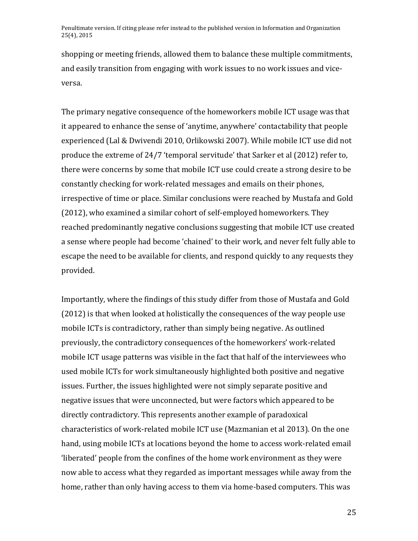shopping or meeting friends, allowed them to balance these multiple commitments, and easily transition from engaging with work issues to no work issues and viceversa.

The primary negative consequence of the homeworkers mobile ICT usage was that it appeared to enhance the sense of 'anytime, anywhere' contactability that people experienced (Lal & Dwivendi 2010, Orlikowski 2007). While mobile ICT use did not produce the extreme of 24/7 'temporal servitude' that Sarker et al (2012) refer to, there were concerns by some that mobile ICT use could create a strong desire to be constantly checking for work-related messages and emails on their phones, irrespective of time or place. Similar conclusions were reached by Mustafa and Gold (2012), who examined a similar cohort of self-employed homeworkers. They reached predominantly negative conclusions suggesting that mobile ICT use created a sense where people had become 'chained' to their work, and never felt fully able to escape the need to be available for clients, and respond quickly to any requests they provided.

Importantly, where the findings of this study differ from those of Mustafa and Gold (2012) is that when looked at holistically the consequences of the way people use mobile ICTs is contradictory, rather than simply being negative. As outlined previously, the contradictory consequences of the homeworkers' work-related mobile ICT usage patterns was visible in the fact that half of the interviewees who used mobile ICTs for work simultaneously highlighted both positive and negative issues. Further, the issues highlighted were not simply separate positive and negative issues that were unconnected, but were factors which appeared to be directly contradictory. This represents another example of paradoxical characteristics of work-related mobile ICT use (Mazmanian et al 2013). On the one hand, using mobile ICTs at locations beyond the home to access work-related email 'liberated' people from the confines of the home work environment as they were now able to access what they regarded as important messages while away from the home, rather than only having access to them via home-based computers. This was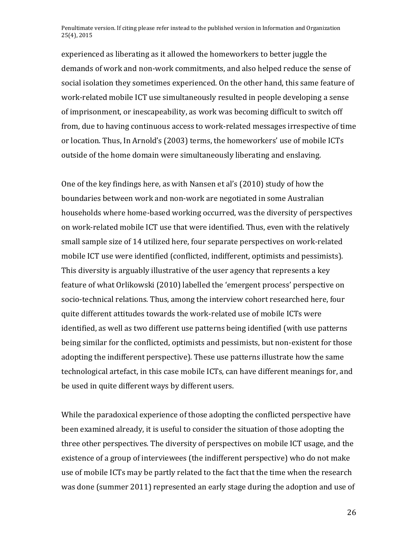experienced as liberating as it allowed the homeworkers to better juggle the demands of work and non-work commitments, and also helped reduce the sense of social isolation they sometimes experienced. On the other hand, this same feature of work-related mobile ICT use simultaneously resulted in people developing a sense of imprisonment, or inescapeability, as work was becoming difficult to switch off from, due to having continuous access to work-related messages irrespective of time or location. Thus, In Arnold's (2003) terms, the homeworkers' use of mobile ICTs outside of the home domain were simultaneously liberating and enslaving.

One of the key findings here, as with Nansen et al's (2010) study of how the boundaries between work and non-work are negotiated in some Australian households where home-based working occurred, was the diversity of perspectives on work-related mobile ICT use that were identified. Thus, even with the relatively small sample size of 14 utilized here, four separate perspectives on work-related mobile ICT use were identified (conflicted, indifferent, optimists and pessimists). This diversity is arguably illustrative of the user agency that represents a key feature of what Orlikowski (2010) labelled the 'emergent process' perspective on socio-technical relations. Thus, among the interview cohort researched here, four quite different attitudes towards the work-related use of mobile ICTs were identified, as well as two different use patterns being identified (with use patterns being similar for the conflicted, optimists and pessimists, but non-existent for those adopting the indifferent perspective). These use patterns illustrate how the same technological artefact, in this case mobile ICTs, can have different meanings for, and be used in quite different ways by different users.

While the paradoxical experience of those adopting the conflicted perspective have been examined already, it is useful to consider the situation of those adopting the three other perspectives. The diversity of perspectives on mobile ICT usage, and the existence of a group of interviewees (the indifferent perspective) who do not make use of mobile ICTs may be partly related to the fact that the time when the research was done (summer 2011) represented an early stage during the adoption and use of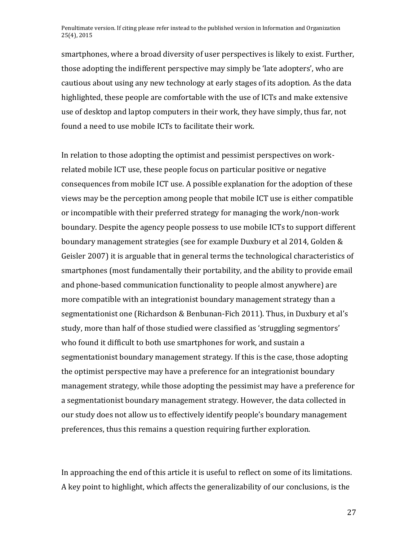smartphones, where a broad diversity of user perspectives is likely to exist. Further, those adopting the indifferent perspective may simply be 'late adopters', who are cautious about using any new technology at early stages of its adoption. As the data highlighted, these people are comfortable with the use of ICTs and make extensive use of desktop and laptop computers in their work, they have simply, thus far, not found a need to use mobile ICTs to facilitate their work.

In relation to those adopting the optimist and pessimist perspectives on workrelated mobile ICT use, these people focus on particular positive or negative consequences from mobile ICT use. A possible explanation for the adoption of these views may be the perception among people that mobile ICT use is either compatible or incompatible with their preferred strategy for managing the work/non-work boundary. Despite the agency people possess to use mobile ICTs to support different boundary management strategies (see for example Duxbury et al 2014, Golden & Geisler 2007) it is arguable that in general terms the technological characteristics of smartphones (most fundamentally their portability, and the ability to provide email and phone-based communication functionality to people almost anywhere) are more compatible with an integrationist boundary management strategy than a segmentationist one (Richardson & Benbunan-Fich 2011). Thus, in Duxbury et al's study, more than half of those studied were classified as 'struggling segmentors' who found it difficult to both use smartphones for work, and sustain a segmentationist boundary management strategy. If this is the case, those adopting the optimist perspective may have a preference for an integrationist boundary management strategy, while those adopting the pessimist may have a preference for a segmentationist boundary management strategy. However, the data collected in our study does not allow us to effectively identify people's boundary management preferences, thus this remains a question requiring further exploration.

In approaching the end of this article it is useful to reflect on some of its limitations. A key point to highlight, which affects the generalizability of our conclusions, is the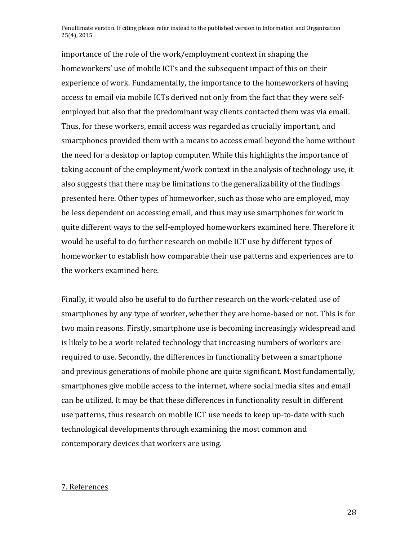importance of the role of the work/employment context in shaping the homeworkers' use of mobile ICTs and the subsequent impact of this on their experience of work. Fundamentally, the importance to the homeworkers of having access to email via mobile ICTs derived not only from the fact that they were selfemployed but also that the predominant way clients contacted them was via email. Thus, for these workers, email access was regarded as crucially important, and smartphones provided them with a means to access email beyond the home without the need for a desktop or laptop computer. While this highlights the importance of taking account of the employment/work context in the analysis of technology use, it also suggests that there may be limitations to the generalizability of the findings presented here. Other types of homeworker, such as those who are employed, may be less dependent on accessing email, and thus may use smartphones for work in quite different ways to the self-employed homeworkers examined here. Therefore it would be useful to do further research on mobile ICT use by different types of homeworker to establish how comparable their use patterns and experiences are to the workers examined here.

Finally, it would also be useful to do further research on the work-related use of smartphones by any type of worker, whether they are home-based or not. This is for two main reasons. Firstly, smartphone use is becoming increasingly widespread and is likely to be a work-related technology that increasing numbers of workers are required to use. Secondly, the differences in functionality between a smartphone and previous generations of mobile phone are quite significant. Most fundamentally, smartphones give mobile access to the internet, where social media sites and email can be utilized. It may be that these differences in functionality result in different use patterns, thus research on mobile ICT use needs to keep up-to-date with such technological developments through examining the most common and contemporary devices that workers are using.

#### 7. References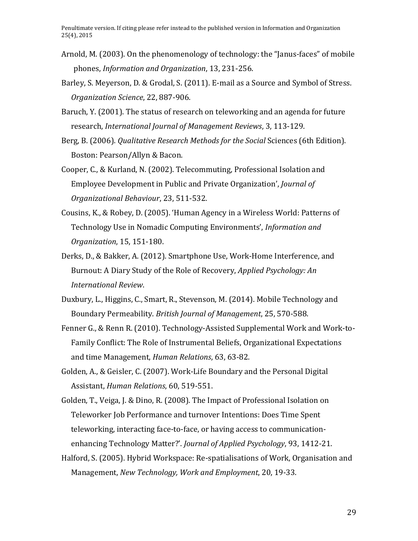- Arnold, M. (2003). On the phenomenology of technology: the "Janus-faces" of mobile phones, *Information and Organization*, 13, 231-256.
- Barley, S. Meyerson, D. & Grodal, S. (2011). E-mail as a Source and Symbol of Stress. *Organization Science*, 22, 887-906.
- Baruch, Y. (2001). The status of research on teleworking and an agenda for future research, *International Journal of Management Reviews*, 3, 113-129.
- Berg, B. (2006). *Qualitative Research Methods for the Social* Sciences (6th Edition). Boston: Pearson/Allyn & Bacon.

Cooper, C., & Kurland, N. (2002). Telecommuting, Professional Isolation and Employee Development in Public and Private Organization', *Journal of Organizational Behaviour*, 23, 511-532.

- Cousins, K., & Robey, D. (2005). 'Human Agency in a Wireless World: Patterns of Technology Use in Nomadic Computing Environments', *Information and Organization*, 15, 151-180.
- Derks, D., & Bakker, A. (2012). Smartphone Use, Work-Home Interference, and Burnout: A Diary Study of the Role of Recovery, *Applied Psychology: An International Review*.
- Duxbury, L., Higgins, C., Smart, R., Stevenson, M. (2014). Mobile Technology and Boundary Permeability. *British Journal of Management*, 25, 570-588.
- Fenner G., & Renn R. (2010). Technology-Assisted Supplemental Work and Work-to-Family Conflict: The Role of Instrumental Beliefs, Organizational Expectations and time Management, *Human Relations*, 63, 63-82.
- Golden, A., & Geisler, C. (2007). Work-Life Boundary and the Personal Digital Assistant, *Human Relations*, 60, 519-551.
- Golden, T., Veiga, J. & Dino, R. (2008). The Impact of Professional Isolation on Teleworker Job Performance and turnover Intentions: Does Time Spent teleworking, interacting face-to-face, or having access to communicationenhancing Technology Matter?'. *Journal of Applied Psychology*, 93, 1412-21.
- Halford, S. (2005). Hybrid Workspace: Re-spatialisations of Work, Organisation and Management, *New Technology, Work and Employment*, 20, 19-33.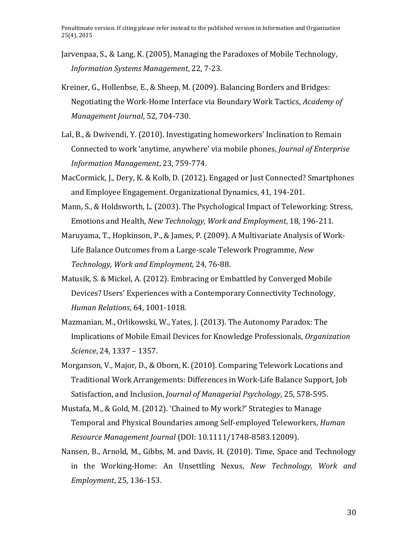- Jarvenpaa, S., & Lang, K. (2005), Managing the Paradoxes of Mobile Technology, *Information Systems Management*, 22, 7-23.
- Kreiner, G., Hollenbse, E., & Sheep, M. (2009). Balancing Borders and Bridges: Negotiating the Work-Home Interface via Boundary Work Tactics, *Academy of Management Journal*, 52, 704-730.
- Lal, B., & Dwivendi, Y. (2010). Investigating homeworkers' Inclination to Remain Connected to work 'anytime, anywhere' via mobile phones, *Journal of Enterprise Information Management*, 23, 759-774.
- MacCormick, J., Dery, K. & Kolb, D. (2012). Engaged or Just Connected? Smartphones and Employee Engagement. Organizational Dynamics, 41, 194-201.
- Mann, S., & Holdsworth, L. (2003). The Psychological Impact of Teleworking: Stress, Emotions and Health, *New Technology, Work and Employment*, 18, 196-211.
- Maruyama, T., Hopkinson, P., & James, P. (2009). A Multivariate Analysis of Work-Life Balance Outcomes from a Large-scale Telework Programme, *New Technology, Work and Employment,* 24, 76-88.
- Matusik, S. & Mickel, A. (2012). Embracing or Embattled by Converged Mobile Devices? Users' Experiences with a Contemporary Connectivity Technology, *Human Relations*, 64, 1001-1018.
- Mazmanian, M., Orlikowski, W., Yates, J. (2013). The Autonomy Paradox: The Implications of Mobile Email Devices for Knowledge Professionals, *Organization Science*, 24, 1337 – 1357.
- Morganson, V., Major, D., & Oborn, K. (2010). Comparing Telework Locations and Traditional Work Arrangements: Differences in Work-Life Balance Support, Job Satisfaction, and Inclusion, *Journal of Managerial Psychology*, 25, 578-595.
- Mustafa, M., & Gold, M. (2012). 'Chained to My work?' Strategies to Manage Temporal and Physical Boundaries among Self-employed Teleworkers, *Human Resource Management Journal* (DOI: 10.1111/1748-8583.12009).
- Nansen, B., Arnold, M., Gibbs, M. and Davis, H. (2010). Time, Space and Technology in the Working-Home: An Unsettling Nexus, *New Technology, Work and Employment*, 25, 136-153.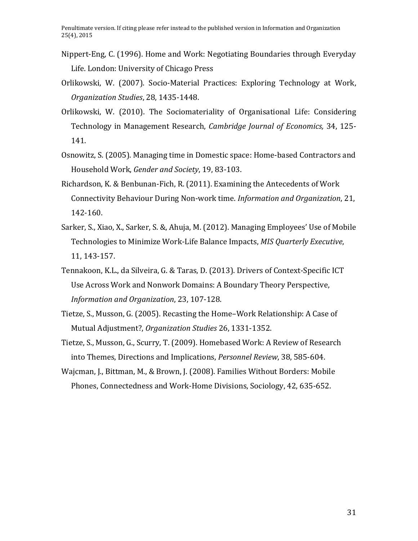- Nippert-Eng, C. (1996). Home and Work: Negotiating Boundaries through Everyday Life. London: University of Chicago Press
- Orlikowski, W. (2007). Socio-Material Practices: Exploring Technology at Work, *Organization Studies*, 28, 1435-1448.
- Orlikowski, W. (2010). The Sociomateriality of Organisational Life: Considering Technology in Management Research, *Cambridge Journal of Economics,* 34, 125- 141.
- Osnowitz, S. (2005). Managing time in Domestic space: Home-based Contractors and Household Work, *Gender and Society*, 19, 83-103.
- Richardson, K. & Benbunan-Fich, R. (2011). Examining the Antecedents of Work Connectivity Behaviour During Non-work time. *Information and Organization*, 21, 142-160.
- Sarker, S., Xiao, X., Sarker, S. &, Ahuja, M. (2012). Managing Employees' Use of Mobile Technologies to Minimize Work-Life Balance Impacts, *MIS Quarterly Executive*, 11, 143-157.
- Tennakoon, K.L., da Silveira, G. & Taras, D. (2013). Drivers of Context-Specific ICT Use Across Work and Nonwork Domains: A Boundary Theory Perspective, *Information and Organization*, 23, 107-128.
- Tietze, S., Musson, G. (2005). Recasting the Home–Work Relationship: A Case of Mutual Adjustment?, *Organization Studies* 26, 1331-1352.
- Tietze, S., Musson, G., Scurry, T. (2009). Homebased Work: A Review of Research into Themes, Directions and Implications, *Personnel Review*, 38, 585-604.
- Wajcman, J., Bittman, M., & Brown, J. (2008). Families Without Borders: Mobile Phones, Connectedness and Work-Home Divisions, Sociology, 42, 635-652.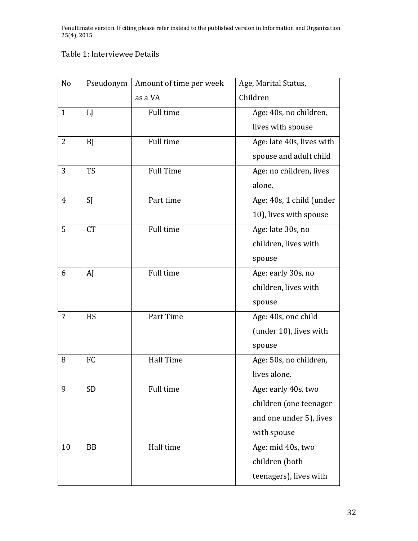# Table 1: Interviewee Details

| No           | Pseudonym | Amount of time per week | Age, Marital Status,      |
|--------------|-----------|-------------------------|---------------------------|
|              |           | as a VA                 | Children                  |
| $\mathbf{1}$ | LI        | Full time               | Age: 40s, no children,    |
|              |           |                         | lives with spouse         |
| 2            | <b>BJ</b> | <b>Full time</b>        | Age: late 40s, lives with |
|              |           |                         | spouse and adult child    |
| 3            | <b>TS</b> | <b>Full Time</b>        | Age: no children, lives   |
|              |           |                         | alone.                    |
| 4            | SJ        | Part time               | Age: 40s, 1 child (under  |
|              |           |                         | 10), lives with spouse    |
| 5            | <b>CT</b> | <b>Full time</b>        | Age: late 30s, no         |
|              |           |                         | children, lives with      |
|              |           |                         | spouse                    |
| 6            | AJ        | <b>Full time</b>        | Age: early 30s, no        |
|              |           |                         | children, lives with      |
|              |           |                         | spouse                    |
| 7            | <b>HS</b> | Part Time               | Age: 40s, one child       |
|              |           |                         | (under 10), lives with    |
|              |           |                         | spouse                    |
| 8            | <b>FC</b> | <b>Half Time</b>        | Age: 50s, no children,    |
|              |           |                         | lives alone.              |
| 9            | <b>SD</b> | Full time               | Age: early 40s, two       |
|              |           |                         | children (one teenager    |
|              |           |                         | and one under 5), lives   |
|              |           |                         | with spouse               |
| 10           | <b>BB</b> | Half time               | Age: mid 40s, two         |
|              |           |                         | children (both            |
|              |           |                         | teenagers), lives with    |